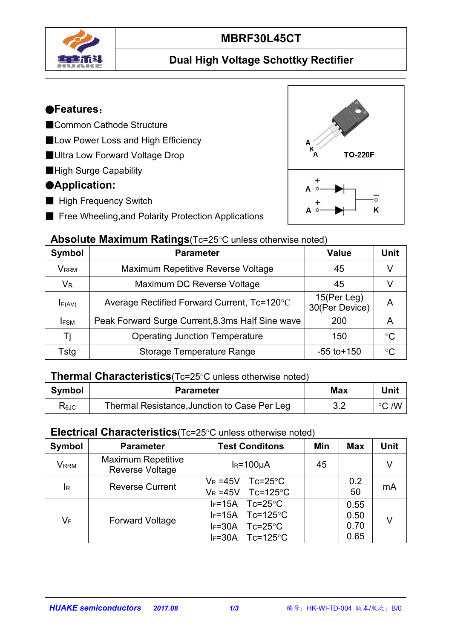

# **MBRF30L45CT**

#### **Dual High Voltage Schottky Rectifier**

#### ●**Features**:

- ■Common Cathode Structure
- ■Low Power Loss and High Efficiency
- ■Ultra Low Forward Voltage Drop
- ■High Surge Capability

#### ●**Application:**

- High Frequency Switch
- Free Wheeling, and Polarity Protection Applications

#### **Absolute Maximum Ratings**(Tc=25°C unless otherwise noted)

| Symbol      | <b>Parameter</b>                                 | <b>Value</b>                     | <b>Unit</b>     |
|-------------|--------------------------------------------------|----------------------------------|-----------------|
| <b>VRRM</b> | Maximum Repetitive Reverse Voltage               | 45                               |                 |
| $V_{R}$     | Maximum DC Reverse Voltage                       | 45                               |                 |
| $I_{F(AV)}$ | Average Rectified Forward Current, Tc=120°C      | $15$ (Per Leg)<br>30(Per Device) | A               |
| <b>IFSM</b> | Peak Forward Surge Current, 8.3ms Half Sine wave | 200                              | A               |
|             | <b>Operating Junction Temperature</b>            | 150                              | $^{\circ}C$     |
| Tstg        | <b>Storage Temperature Range</b>                 | $-55$ to $+150$                  | $\rm ^{\circ}C$ |

#### **Thermal Characteristics**(Tc=25°C unless otherwise noted)

| <b>Symbol</b> | <b>Parameter</b>                                            | <b>Max</b>              | .<br>Unit     |
|---------------|-------------------------------------------------------------|-------------------------|---------------|
| <b>KAJC</b>   | ا Junction to Case Per.<br>' Resistance.<br>Leg<br>l hermal | $\mathsf{v}.\mathsf{v}$ | /W<br>$\circ$ |

#### **Electrical Characteristics**(Tc=25°C unless otherwise noted)

| Symbol                      | <b>Parameter</b>                             | <b>Test Conditons</b>                                                                                                     | Min | <b>Max</b>                   | Unit |
|-----------------------------|----------------------------------------------|---------------------------------------------------------------------------------------------------------------------------|-----|------------------------------|------|
| $\mathsf{V}_{\mathsf{RRM}}$ | <b>Maximum Repetitive</b><br>Reverse Voltage | $IR=100µA$                                                                                                                | 45  |                              | V    |
| $\mathsf{I}_{\mathsf{R}}$   | <b>Reverse Current</b>                       | $Tc = 25^{\circ}C$<br>$V_R = 45V$<br>$Tc=125^{\circ}C$<br>$V_R = 45V$                                                     |     | 0.2<br>50                    | mA   |
| $V_F$                       | <b>Forward Voltage</b>                       | $IF=15A$<br>$Tc = 25^{\circ}C$<br>$IF=15A$ Tc=125°C<br>$Tc = 25^{\circ}C$<br>$IF=30A$<br>$Tc=125^{\circ}C$<br>$I_F = 30A$ |     | 0.55<br>0.50<br>0.70<br>0.65 | V    |

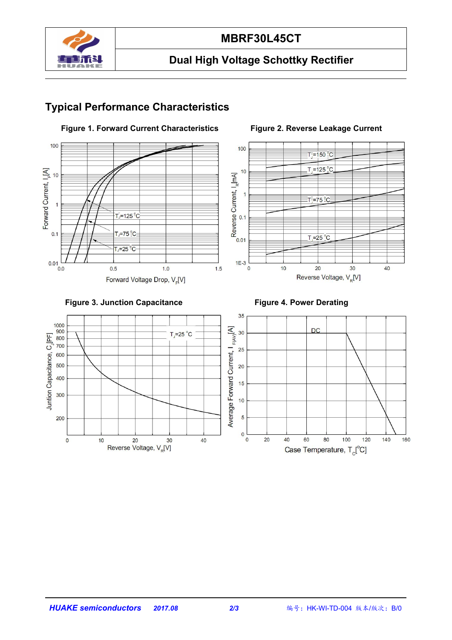

#### **MBRF30L45CT**

### **Dual High Voltage Schottky Rectifier**

### **Typical Performance Characteristics**



#### **Figure 1. Forward Current Characteristics Figure 2. Reverse Leakage Current**





![](_page_1_Figure_9.jpeg)